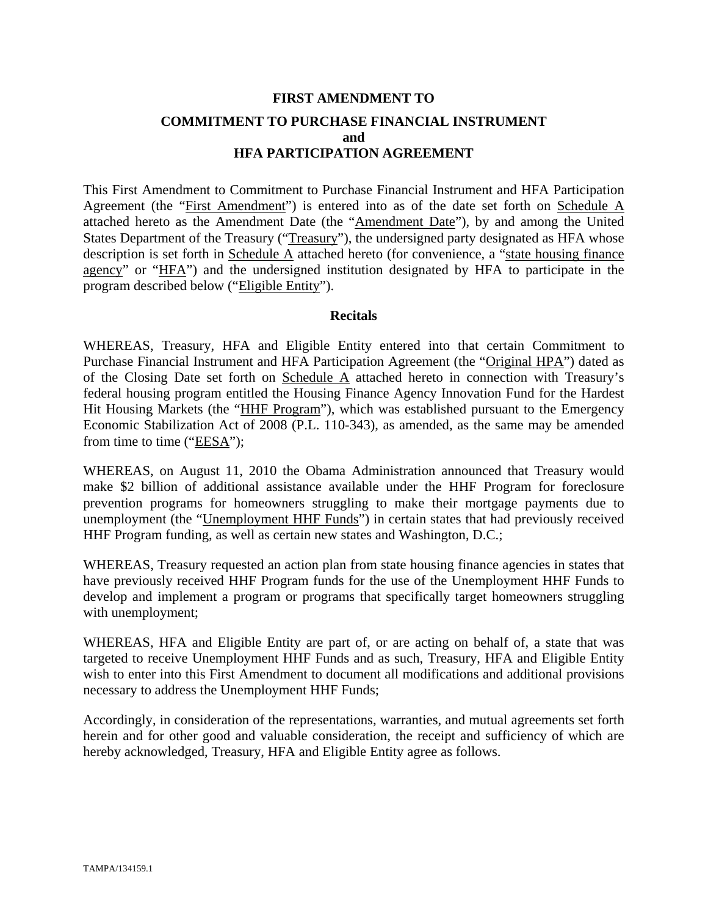# **FIRST AMENDMENT TO COMMITMENT TO PURCHASE FINANCIAL INSTRUMENT and HFA PARTICIPATION AGREEMENT**

This First Amendment to Commitment to Purchase Financial Instrument and HFA Participation Agreement (the "First Amendment") is entered into as of the date set forth on Schedule A attached hereto as the Amendment Date (the "Amendment Date"), by and among the United States Department of the Treasury ("Treasury"), the undersigned party designated as HFA whose description is set forth in Schedule A attached hereto (for convenience, a "state housing finance agency" or "HFA") and the undersigned institution designated by HFA to participate in the program described below ("Eligible Entity").

#### **Recitals**

WHEREAS, Treasury, HFA and Eligible Entity entered into that certain Commitment to Purchase Financial Instrument and HFA Participation Agreement (the "Original HPA") dated as of the Closing Date set forth on Schedule A attached hereto in connection with Treasury's federal housing program entitled the Housing Finance Agency Innovation Fund for the Hardest Hit Housing Markets (the "HHF Program"), which was established pursuant to the Emergency Economic Stabilization Act of 2008 (P.L. 110-343), as amended, as the same may be amended from time to time ("EESA");

WHEREAS, on August 11, 2010 the Obama Administration announced that Treasury would make \$2 billion of additional assistance available under the HHF Program for foreclosure prevention programs for homeowners struggling to make their mortgage payments due to unemployment (the "Unemployment HHF Funds") in certain states that had previously received HHF Program funding, as well as certain new states and Washington, D.C.;

WHEREAS, Treasury requested an action plan from state housing finance agencies in states that have previously received HHF Program funds for the use of the Unemployment HHF Funds to develop and implement a program or programs that specifically target homeowners struggling with unemployment;

WHEREAS, HFA and Eligible Entity are part of, or are acting on behalf of, a state that was targeted to receive Unemployment HHF Funds and as such, Treasury, HFA and Eligible Entity wish to enter into this First Amendment to document all modifications and additional provisions necessary to address the Unemployment HHF Funds;

Accordingly, in consideration of the representations, warranties, and mutual agreements set forth herein and for other good and valuable consideration, the receipt and sufficiency of which are hereby acknowledged, Treasury, HFA and Eligible Entity agree as follows.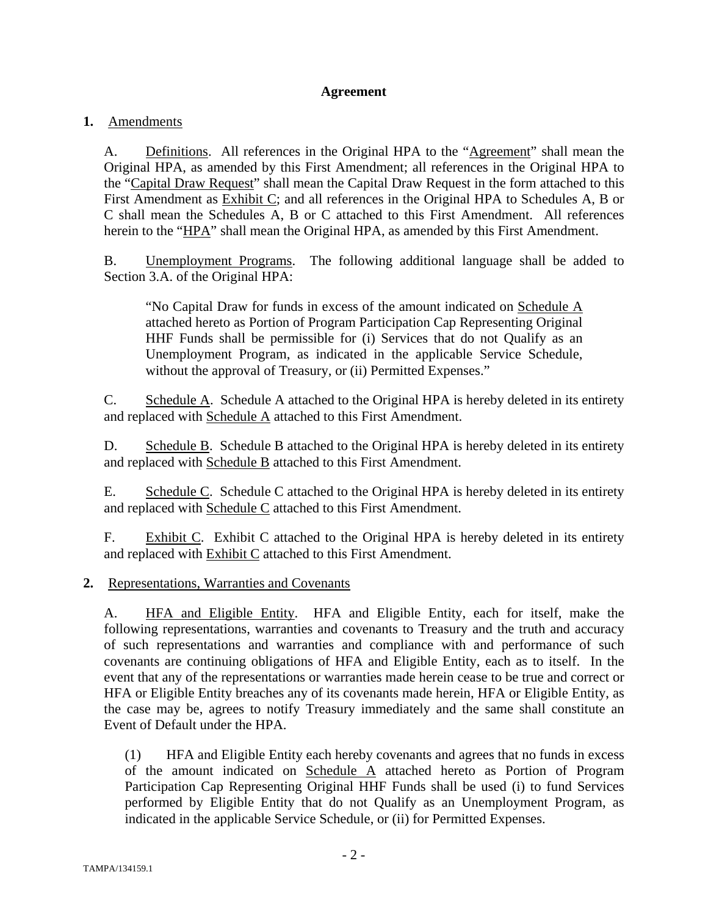### **Agreement**

## **1.** Amendments

A. Definitions. All references in the Original HPA to the "Agreement" shall mean the Original HPA, as amended by this First Amendment; all references in the Original HPA to the "Capital Draw Request" shall mean the Capital Draw Request in the form attached to this First Amendment as Exhibit C; and all references in the Original HPA to Schedules A, B or C shall mean the Schedules A, B or C attached to this First Amendment. All references herein to the "HPA" shall mean the Original HPA, as amended by this First Amendment.

B. Unemployment Programs. The following additional language shall be added to Section 3.A. of the Original HPA:

"No Capital Draw for funds in excess of the amount indicated on Schedule A attached hereto as Portion of Program Participation Cap Representing Original HHF Funds shall be permissible for (i) Services that do not Qualify as an Unemployment Program, as indicated in the applicable Service Schedule, without the approval of Treasury, or (ii) Permitted Expenses."

C. Schedule A. Schedule A attached to the Original HPA is hereby deleted in its entirety and replaced with Schedule A attached to this First Amendment.

D. Schedule B. Schedule B attached to the Original HPA is hereby deleted in its entirety and replaced with Schedule B attached to this First Amendment.

E. Schedule C. Schedule C attached to the Original HPA is hereby deleted in its entirety and replaced with Schedule C attached to this First Amendment.

F. Exhibit C. Exhibit C attached to the Original HPA is hereby deleted in its entirety and replaced with Exhibit C attached to this First Amendment.

### **2.** Representations, Warranties and Covenants

A. HFA and Eligible Entity. HFA and Eligible Entity, each for itself, make the following representations, warranties and covenants to Treasury and the truth and accuracy of such representations and warranties and compliance with and performance of such covenants are continuing obligations of HFA and Eligible Entity, each as to itself. In the event that any of the representations or warranties made herein cease to be true and correct or HFA or Eligible Entity breaches any of its covenants made herein, HFA or Eligible Entity, as the case may be, agrees to notify Treasury immediately and the same shall constitute an Event of Default under the HPA.

(1) HFA and Eligible Entity each hereby covenants and agrees that no funds in excess of the amount indicated on Schedule A attached hereto as Portion of Program Participation Cap Representing Original HHF Funds shall be used (i) to fund Services performed by Eligible Entity that do not Qualify as an Unemployment Program, as indicated in the applicable Service Schedule, or (ii) for Permitted Expenses.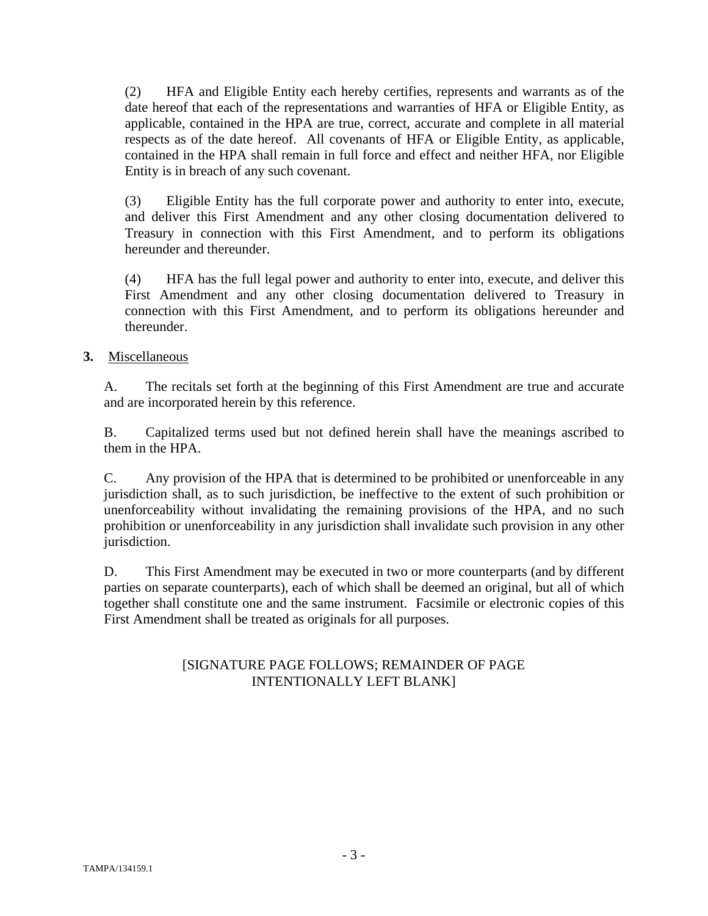(2) HFA and Eligible Entity each hereby certifies, represents and warrants as of the date hereof that each of the representations and warranties of HFA or Eligible Entity, as applicable, contained in the HPA are true, correct, accurate and complete in all material respects as of the date hereof. All covenants of HFA or Eligible Entity, as applicable, contained in the HPA shall remain in full force and effect and neither HFA, nor Eligible Entity is in breach of any such covenant.

(3) Eligible Entity has the full corporate power and authority to enter into, execute, and deliver this First Amendment and any other closing documentation delivered to Treasury in connection with this First Amendment, and to perform its obligations hereunder and thereunder.

(4) HFA has the full legal power and authority to enter into, execute, and deliver this First Amendment and any other closing documentation delivered to Treasury in connection with this First Amendment, and to perform its obligations hereunder and thereunder.

# **3.** Miscellaneous

A. The recitals set forth at the beginning of this First Amendment are true and accurate and are incorporated herein by this reference.

B. Capitalized terms used but not defined herein shall have the meanings ascribed to them in the HPA.

C. Any provision of the HPA that is determined to be prohibited or unenforceable in any jurisdiction shall, as to such jurisdiction, be ineffective to the extent of such prohibition or unenforceability without invalidating the remaining provisions of the HPA, and no such prohibition or unenforceability in any jurisdiction shall invalidate such provision in any other jurisdiction.

D. This First Amendment may be executed in two or more counterparts (and by different parties on separate counterparts), each of which shall be deemed an original, but all of which together shall constitute one and the same instrument. Facsimile or electronic copies of this First Amendment shall be treated as originals for all purposes.

# [SIGNATURE PAGE FOLLOWS; REMAINDER OF PAGE INTENTIONALLY LEFT BLANK]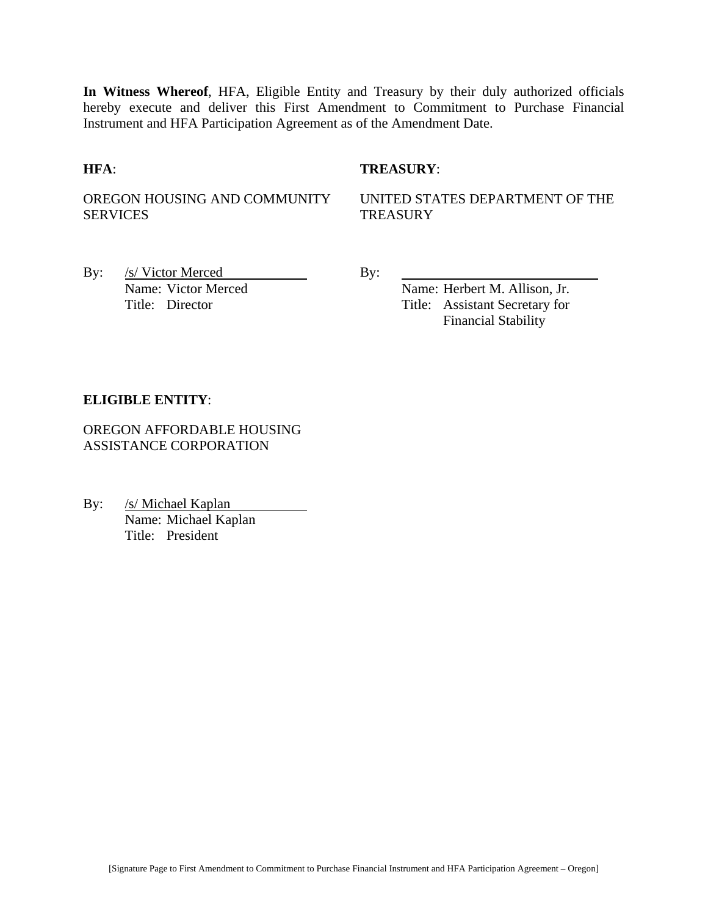**In Witness Whereof**, HFA, Eligible Entity and Treasury by their duly authorized officials hereby execute and deliver this First Amendment to Commitment to Purchase Financial Instrument and HFA Participation Agreement as of the Amendment Date.

#### **HFA**: **TREASURY**:

OREGON HOUSING AND COMMUNITY SERVICES

UNITED STATES DEPARTMENT OF THE **TREASURY** 

By: <u>/s/ Victor Merced By:</u> By:

Name: Victor Merced Name: Herbert M. Allison, Jr. Title: Director Title: Assistant Secretary for Financial Stability

#### **ELIGIBLE ENTITY**:

OREGON AFFORDABLE HOUSING ASSISTANCE CORPORATION

By: /s/ Michael Kaplan Name: Michael Kaplan Title: President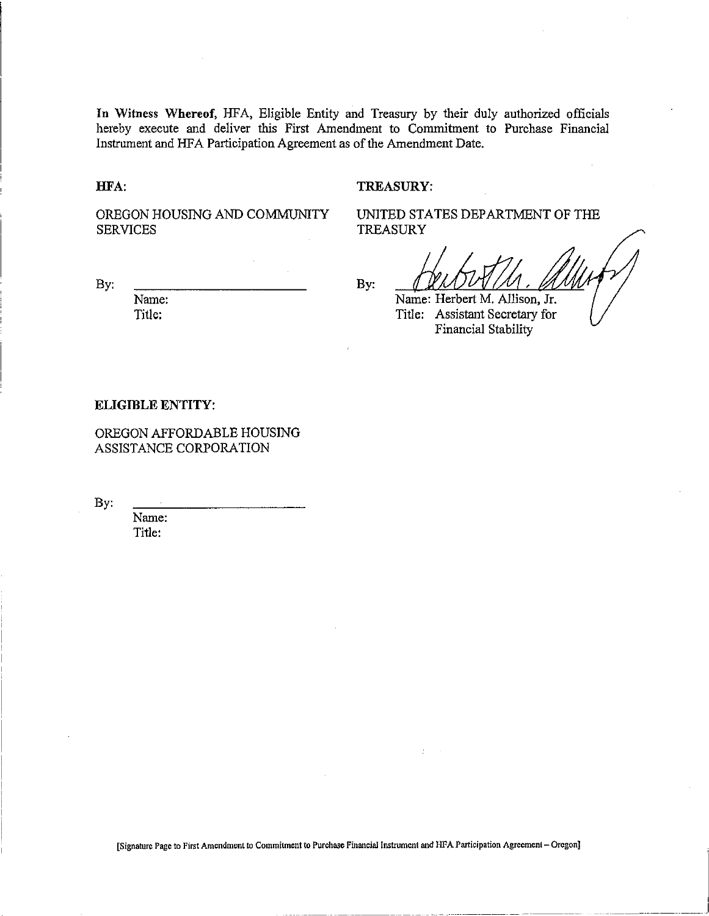**In** Witness Whereof, HFA, Eligible Entity and Treasury by their duly authorized officials hereby execute and deliver this First Amendment to Commitment to Purchase Financial Instrument and HFA Participation Agreement as of the Amendment Date.

HFA:

#### TREASURY:

TREASURY

OREGON HOUSING AND COMMUNITY **SERVICES** 

By:

Name: Title:

By:

Name: Herbert M. Allison, Jr. Title: Assistant Secretary for Financial Stability

UNITED STATES DEPARTMENT OF THE

#### **ELIGIBLE** ENTITY:

OREGON AFFORDABLE HOUSING ASSISTANCE CORPORATION

By:

Name: Title:

[Signature Page to First Amendment to Commitment to Purchase Financial Instrument and HFA Participation Agreement - Oregon]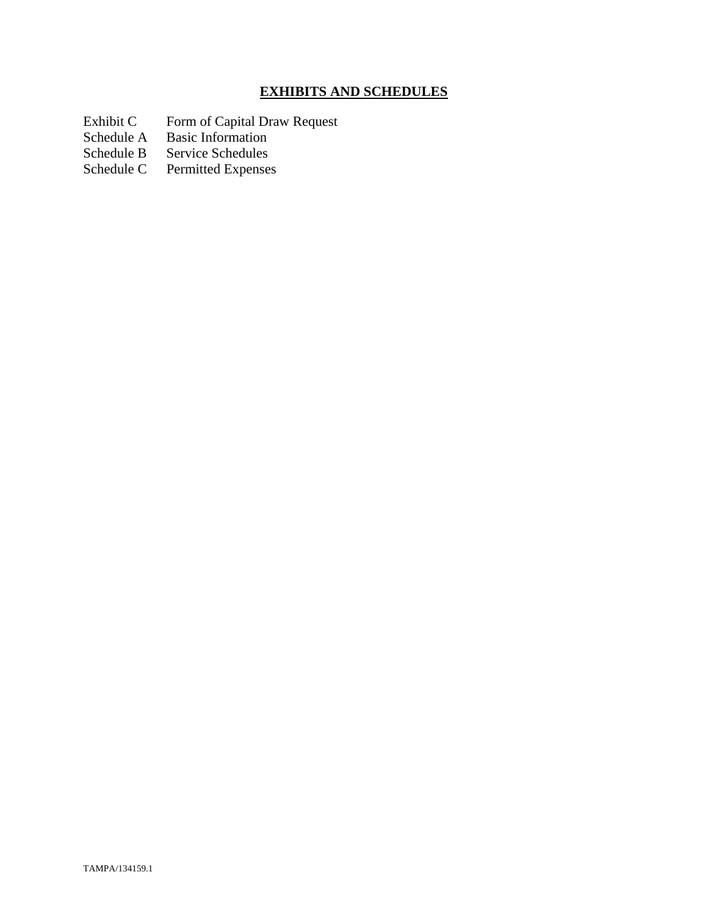# **EXHIBITS AND SCHEDULES**

- Exhibit C Form of Capital Draw Request
- Schedule A Basic Information
- Schedule B Service Schedules<br>Schedule C Permitted Expenses
- Permitted Expenses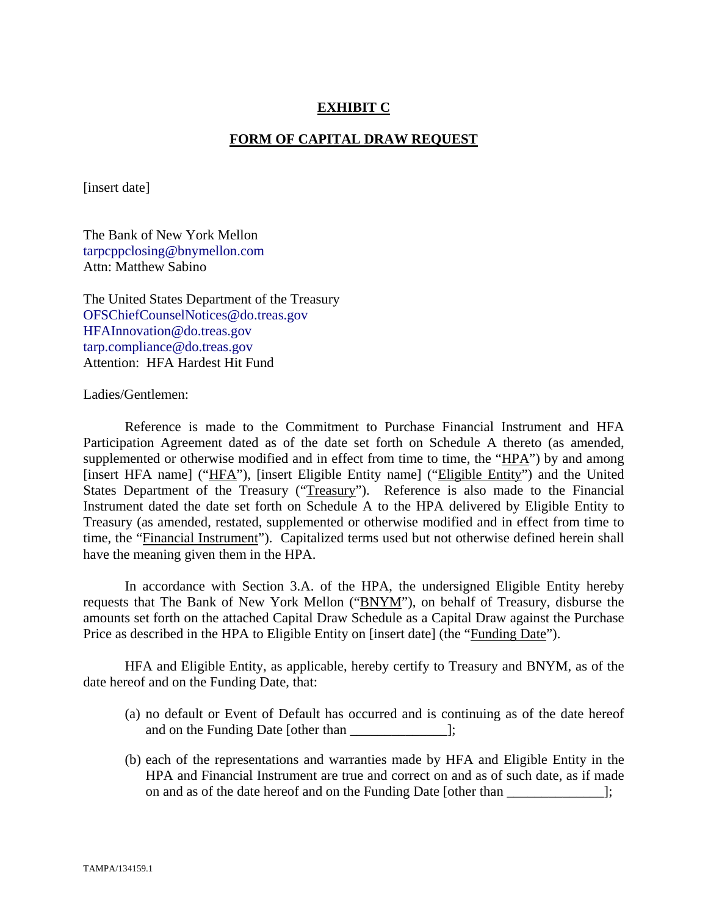### **EXHIBIT C**

#### **FORM OF CAPITAL DRAW REQUEST**

[insert date]

The Bank of New York Mellon tarpcppclosing@bnymellon.com Attn: Matthew Sabino

The United States Department of the Treasury OFSChiefCounselNotices@do.treas.gov HFAInnovation@do.treas.gov tarp.compliance@do.treas.gov Attention: HFA Hardest Hit Fund

Ladies/Gentlemen:

 Reference is made to the Commitment to Purchase Financial Instrument and HFA Participation Agreement dated as of the date set forth on Schedule A thereto (as amended, supplemented or otherwise modified and in effect from time to time, the "HPA") by and among [insert HFA name] ("HFA"), [insert Eligible Entity name] ("Eligible Entity") and the United States Department of the Treasury ("Treasury"). Reference is also made to the Financial Instrument dated the date set forth on Schedule A to the HPA delivered by Eligible Entity to Treasury (as amended, restated, supplemented or otherwise modified and in effect from time to time, the "Financial Instrument"). Capitalized terms used but not otherwise defined herein shall have the meaning given them in the HPA.

 In accordance with Section 3.A. of the HPA, the undersigned Eligible Entity hereby requests that The Bank of New York Mellon ("BNYM"), on behalf of Treasury, disburse the amounts set forth on the attached Capital Draw Schedule as a Capital Draw against the Purchase Price as described in the HPA to Eligible Entity on [insert date] (the "Funding Date").

 HFA and Eligible Entity, as applicable, hereby certify to Treasury and BNYM, as of the date hereof and on the Funding Date, that:

- (a) no default or Event of Default has occurred and is continuing as of the date hereof and on the Funding Date [other than \_\_\_\_\_\_\_\_\_\_\_\_\_\_];
- (b) each of the representations and warranties made by HFA and Eligible Entity in the HPA and Financial Instrument are true and correct on and as of such date, as if made on and as of the date hereof and on the Funding Date [other than ];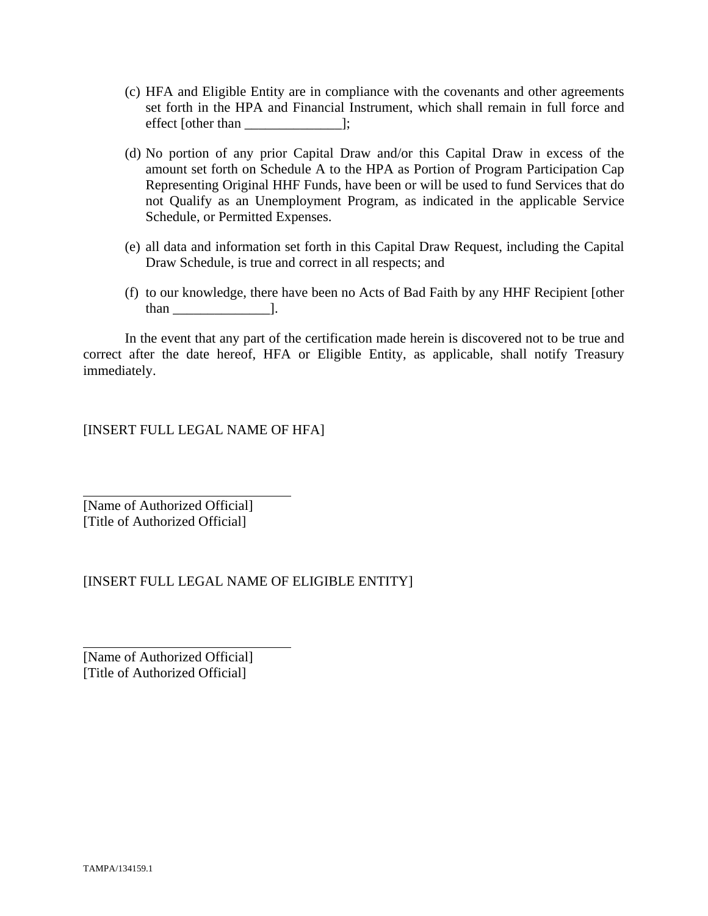- (c) HFA and Eligible Entity are in compliance with the covenants and other agreements set forth in the HPA and Financial Instrument, which shall remain in full force and effect [other than \_\_\_\_\_\_\_\_\_\_\_\_\_\_];
- (d) No portion of any prior Capital Draw and/or this Capital Draw in excess of the amount set forth on Schedule A to the HPA as Portion of Program Participation Cap Representing Original HHF Funds, have been or will be used to fund Services that do not Qualify as an Unemployment Program, as indicated in the applicable Service Schedule, or Permitted Expenses.
- (e) all data and information set forth in this Capital Draw Request, including the Capital Draw Schedule, is true and correct in all respects; and
- (f) to our knowledge, there have been no Acts of Bad Faith by any HHF Recipient [other than \_\_\_\_\_\_\_\_\_\_\_\_\_\_].

 In the event that any part of the certification made herein is discovered not to be true and correct after the date hereof, HFA or Eligible Entity, as applicable, shall notify Treasury immediately.

[INSERT FULL LEGAL NAME OF HFA]

[Name of Authorized Official] [Title of Authorized Official]

 $\overline{a}$ 

l

# [INSERT FULL LEGAL NAME OF ELIGIBLE ENTITY]

[Name of Authorized Official] [Title of Authorized Official]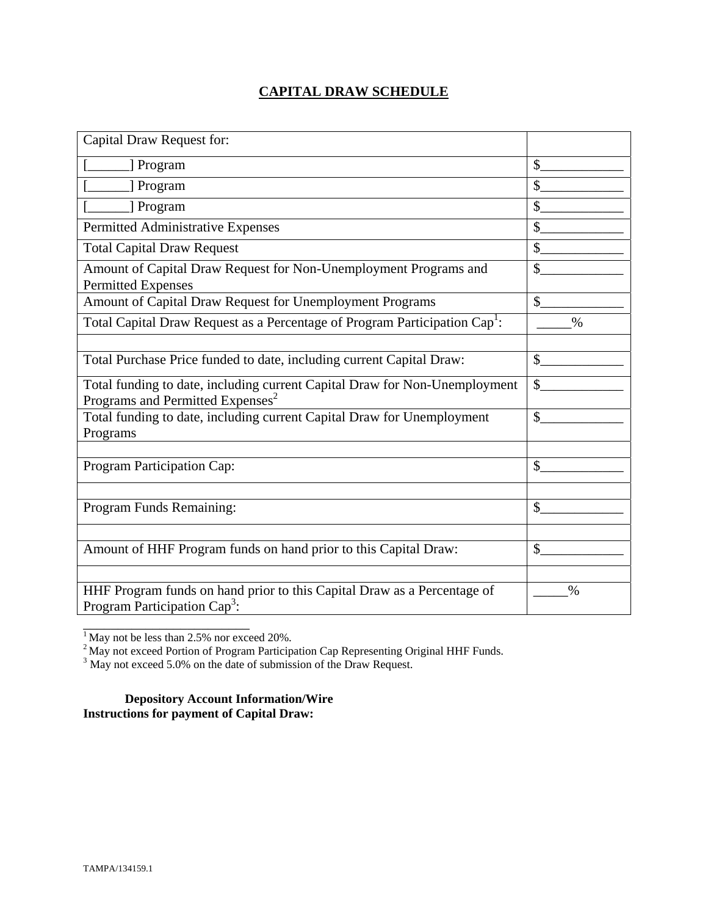# **CAPITAL DRAW SCHEDULE**

| Capital Draw Request for:                                                                                                  |               |
|----------------------------------------------------------------------------------------------------------------------------|---------------|
| [] Program                                                                                                                 | \$            |
| ] Program                                                                                                                  | $\mathcal{S}$ |
| [ Program]                                                                                                                 | $\mathcal{S}$ |
| Permitted Administrative Expenses                                                                                          | \$            |
| <b>Total Capital Draw Request</b>                                                                                          | \$            |
| Amount of Capital Draw Request for Non-Unemployment Programs and<br><b>Permitted Expenses</b>                              | \$            |
| Amount of Capital Draw Request for Unemployment Programs                                                                   | \$            |
| Total Capital Draw Request as a Percentage of Program Participation Cap <sup>1</sup> :                                     | $\frac{0}{0}$ |
|                                                                                                                            |               |
| Total Purchase Price funded to date, including current Capital Draw:                                                       | \$            |
| Total funding to date, including current Capital Draw for Non-Unemployment<br>Programs and Permitted Expenses <sup>2</sup> | $\mathbb{S}$  |
| Total funding to date, including current Capital Draw for Unemployment<br>Programs                                         | \$            |
|                                                                                                                            |               |
| Program Participation Cap:                                                                                                 | \$            |
|                                                                                                                            |               |
| Program Funds Remaining:                                                                                                   | \$            |
|                                                                                                                            |               |
| Amount of HHF Program funds on hand prior to this Capital Draw:                                                            | \$            |
|                                                                                                                            |               |
| HHF Program funds on hand prior to this Capital Draw as a Percentage of<br>Program Participation Cap <sup>3</sup> :        | $\%$          |

 $<sup>1</sup>$  May not be less than 2.5% nor exceed 20%.</sup>

\_\_\_\_\_\_\_\_\_\_\_\_\_\_\_\_\_\_\_\_\_\_\_\_

<sup>2</sup> May not exceed Portion of Program Participation Cap Representing Original HHF Funds.<br><sup>3</sup> May not exceed 5.0% on the date of submission of the Draw Request.

**Depository Account Information/Wire Instructions for payment of Capital Draw:**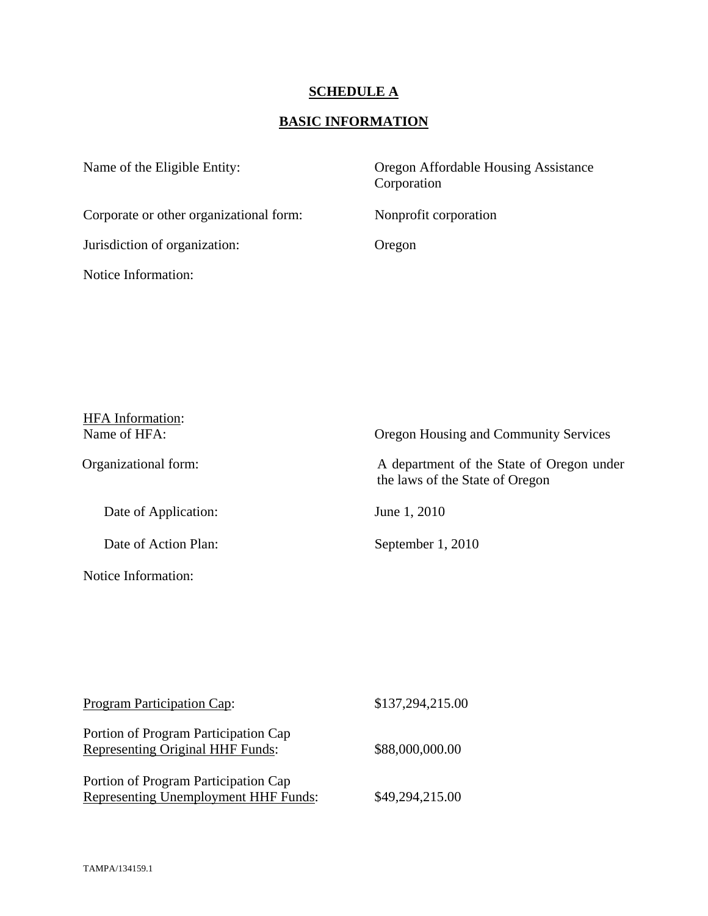# **SCHEDULE A**

# **BASIC INFORMATION**

| Oregon Affordable Housing Assistance<br>Corporation |
|-----------------------------------------------------|
| Nonprofit corporation                               |
| Oregon                                              |
|                                                     |
|                                                     |

| <b>HFA</b> Information: |                                                                              |
|-------------------------|------------------------------------------------------------------------------|
| Name of HFA:            | Oregon Housing and Community Services                                        |
| Organizational form:    | A department of the State of Oregon under<br>the laws of the State of Oregon |
| Date of Application:    | June 1, 2010                                                                 |
| Date of Action Plan:    | September 1, 2010                                                            |
| Notice Information:     |                                                                              |

| Program Participation Cap:                                                      | \$137,294,215.00 |
|---------------------------------------------------------------------------------|------------------|
| Portion of Program Participation Cap<br><b>Representing Original HHF Funds:</b> | \$88,000,000.00  |
| Portion of Program Participation Cap<br>Representing Unemployment HHF Funds:    | \$49,294,215.00  |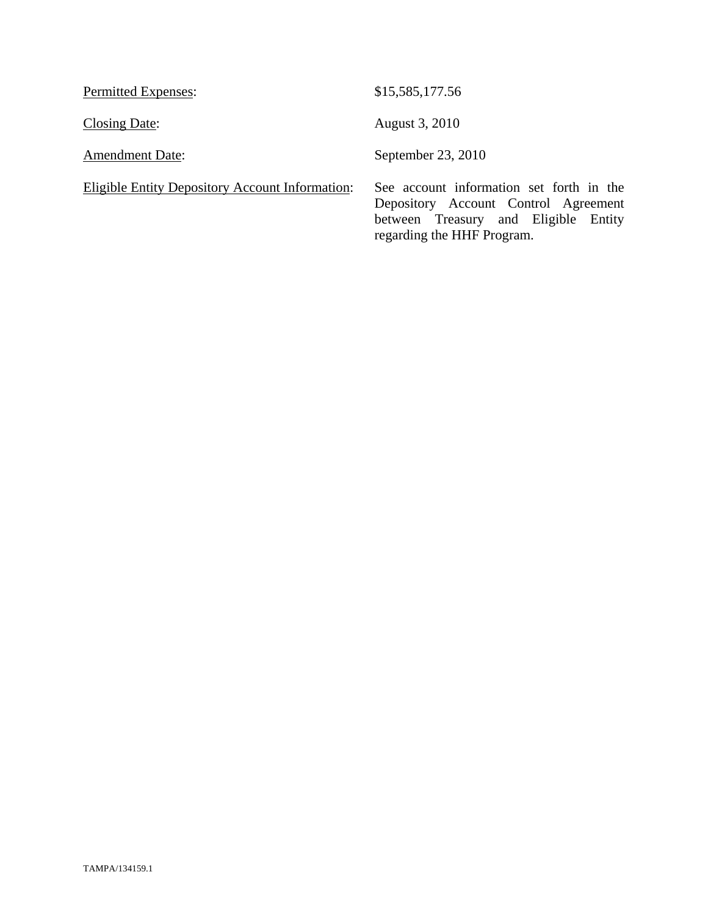| Permitted Expenses:                             | \$15,585,177.56                                                                                                                                        |
|-------------------------------------------------|--------------------------------------------------------------------------------------------------------------------------------------------------------|
| Closing Date:                                   | August 3, 2010                                                                                                                                         |
| <b>Amendment Date:</b>                          | September 23, 2010                                                                                                                                     |
| Eligible Entity Depository Account Information: | See account information set forth in the<br>Depository Account Control Agreement<br>between Treasury and Eligible Entity<br>regarding the HHF Program. |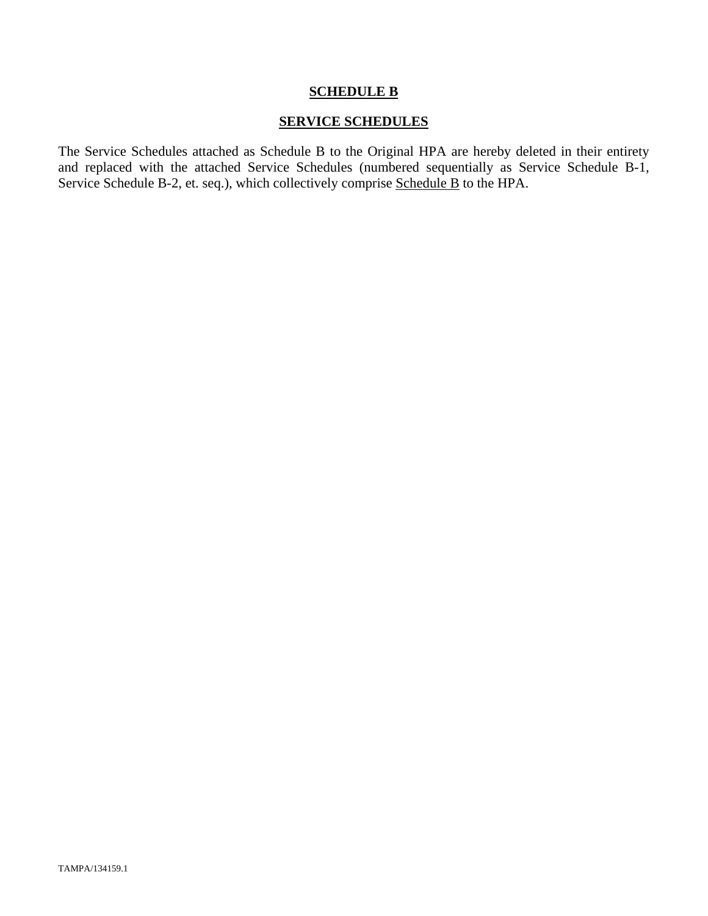#### **SCHEDULE B**

### **SERVICE SCHEDULES**

The Service Schedules attached as Schedule B to the Original HPA are hereby deleted in their entirety and replaced with the attached Service Schedules (numbered sequentially as Service Schedule B-1, Service Schedule B-2, et. seq.), which collectively comprise Schedule B to the HPA.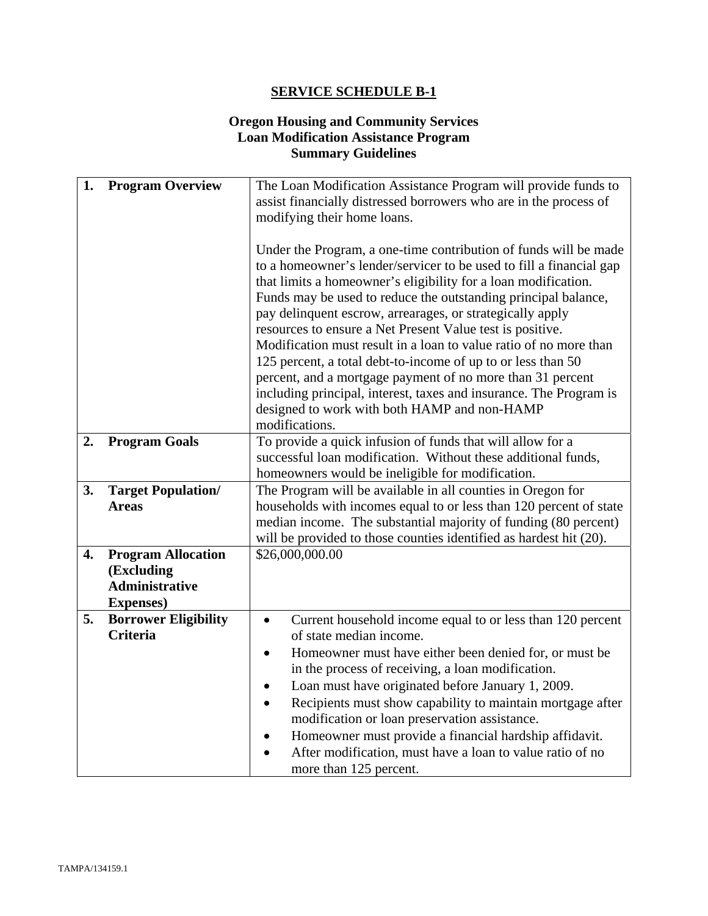# **Oregon Housing and Community Services Loan Modification Assistance Program Summary Guidelines**

| 1. | <b>Program Overview</b>                                                               | The Loan Modification Assistance Program will provide funds to<br>assist financially distressed borrowers who are in the process of<br>modifying their home loans.                                                                                                                                                                                                                                                                                                                                                                                                                                                                                                                                                                               |  |
|----|---------------------------------------------------------------------------------------|--------------------------------------------------------------------------------------------------------------------------------------------------------------------------------------------------------------------------------------------------------------------------------------------------------------------------------------------------------------------------------------------------------------------------------------------------------------------------------------------------------------------------------------------------------------------------------------------------------------------------------------------------------------------------------------------------------------------------------------------------|--|
|    |                                                                                       | Under the Program, a one-time contribution of funds will be made<br>to a homeowner's lender/servicer to be used to fill a financial gap<br>that limits a homeowner's eligibility for a loan modification.<br>Funds may be used to reduce the outstanding principal balance,<br>pay delinquent escrow, arrearages, or strategically apply<br>resources to ensure a Net Present Value test is positive.<br>Modification must result in a loan to value ratio of no more than<br>125 percent, a total debt-to-income of up to or less than 50<br>percent, and a mortgage payment of no more than 31 percent<br>including principal, interest, taxes and insurance. The Program is<br>designed to work with both HAMP and non-HAMP<br>modifications. |  |
| 2. | <b>Program Goals</b>                                                                  | To provide a quick infusion of funds that will allow for a<br>successful loan modification. Without these additional funds,<br>homeowners would be ineligible for modification.                                                                                                                                                                                                                                                                                                                                                                                                                                                                                                                                                                  |  |
| 3. | <b>Target Population/</b><br><b>Areas</b>                                             | The Program will be available in all counties in Oregon for<br>households with incomes equal to or less than 120 percent of state<br>median income. The substantial majority of funding (80 percent)<br>will be provided to those counties identified as hardest hit (20).                                                                                                                                                                                                                                                                                                                                                                                                                                                                       |  |
| 4. | <b>Program Allocation</b><br>(Excluding<br><b>Administrative</b><br><b>Expenses</b> ) | \$26,000,000.00                                                                                                                                                                                                                                                                                                                                                                                                                                                                                                                                                                                                                                                                                                                                  |  |
| 5. | <b>Borrower Eligibility</b><br><b>Criteria</b>                                        | Current household income equal to or less than 120 percent<br>$\bullet$<br>of state median income.<br>Homeowner must have either been denied for, or must be.<br>$\bullet$<br>in the process of receiving, a loan modification.<br>Loan must have originated before January 1, 2009.<br>$\bullet$<br>Recipients must show capability to maintain mortgage after<br>$\bullet$<br>modification or loan preservation assistance.<br>Homeowner must provide a financial hardship affidavit.<br>After modification, must have a loan to value ratio of no<br>more than 125 percent.                                                                                                                                                                   |  |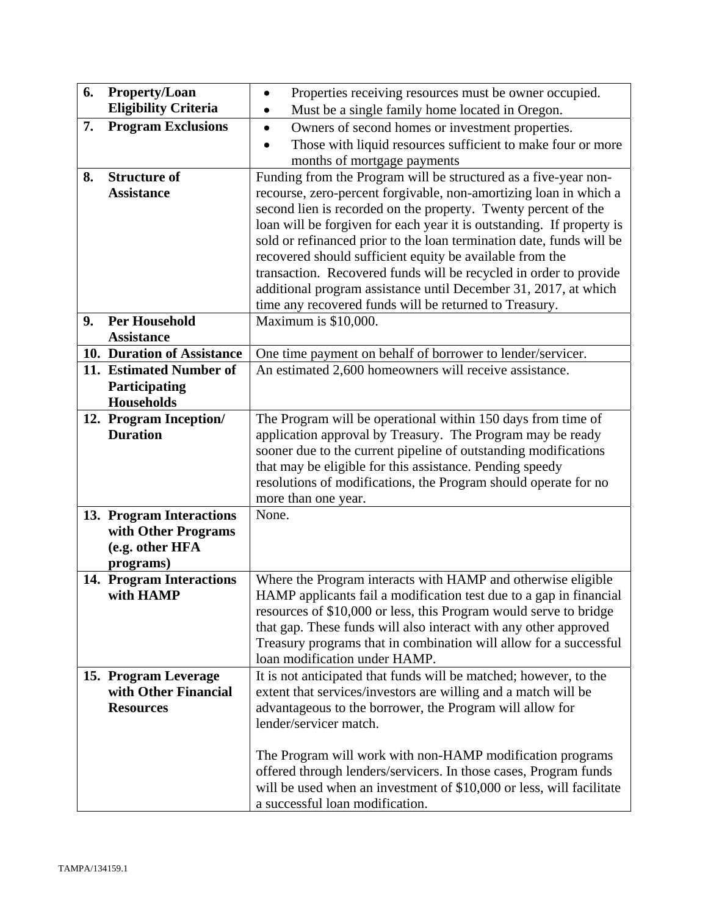| 6. | <b>Property/Loan</b>                      | Properties receiving resources must be owner occupied.<br>$\bullet$                                                                     |
|----|-------------------------------------------|-----------------------------------------------------------------------------------------------------------------------------------------|
|    | <b>Eligibility Criteria</b>               | Must be a single family home located in Oregon.<br>$\bullet$                                                                            |
| 7. | <b>Program Exclusions</b>                 | Owners of second homes or investment properties.<br>$\bullet$                                                                           |
|    |                                           | Those with liquid resources sufficient to make four or more                                                                             |
|    |                                           | months of mortgage payments                                                                                                             |
| 8. | <b>Structure of</b>                       | Funding from the Program will be structured as a five-year non-                                                                         |
|    | <b>Assistance</b>                         | recourse, zero-percent forgivable, non-amortizing loan in which a                                                                       |
|    |                                           | second lien is recorded on the property. Twenty percent of the<br>loan will be forgiven for each year it is outstanding. If property is |
|    |                                           | sold or refinanced prior to the loan termination date, funds will be                                                                    |
|    |                                           | recovered should sufficient equity be available from the                                                                                |
|    |                                           | transaction. Recovered funds will be recycled in order to provide                                                                       |
|    |                                           | additional program assistance until December 31, 2017, at which                                                                         |
|    |                                           | time any recovered funds will be returned to Treasury.                                                                                  |
| 9. | <b>Per Household</b>                      | Maximum is \$10,000.                                                                                                                    |
|    | <b>Assistance</b>                         |                                                                                                                                         |
|    | 10. Duration of Assistance                | One time payment on behalf of borrower to lender/servicer.                                                                              |
|    | 11. Estimated Number of                   | An estimated 2,600 homeowners will receive assistance.                                                                                  |
|    | Participating                             |                                                                                                                                         |
|    | Households                                | The Program will be operational within 150 days from time of                                                                            |
|    | 12. Program Inception/<br><b>Duration</b> | application approval by Treasury. The Program may be ready                                                                              |
|    |                                           | sooner due to the current pipeline of outstanding modifications                                                                         |
|    |                                           | that may be eligible for this assistance. Pending speedy                                                                                |
|    |                                           | resolutions of modifications, the Program should operate for no                                                                         |
|    |                                           | more than one year.                                                                                                                     |
|    | 13. Program Interactions                  | None.                                                                                                                                   |
|    | with Other Programs                       |                                                                                                                                         |
|    | (e.g. other HFA                           |                                                                                                                                         |
|    | programs)                                 |                                                                                                                                         |
|    | 14. Program Interactions                  | Where the Program interacts with HAMP and otherwise eligible                                                                            |
|    | with HAMP                                 | HAMP applicants fail a modification test due to a gap in financial                                                                      |
|    |                                           | resources of \$10,000 or less, this Program would serve to bridge<br>that gap. These funds will also interact with any other approved   |
|    |                                           | Treasury programs that in combination will allow for a successful                                                                       |
|    |                                           | loan modification under HAMP.                                                                                                           |
|    | 15. Program Leverage                      | It is not anticipated that funds will be matched; however, to the                                                                       |
|    | with Other Financial                      | extent that services/investors are willing and a match will be                                                                          |
|    | <b>Resources</b>                          | advantageous to the borrower, the Program will allow for                                                                                |
|    |                                           | lender/servicer match.                                                                                                                  |
|    |                                           |                                                                                                                                         |
|    |                                           | The Program will work with non-HAMP modification programs                                                                               |
|    |                                           | offered through lenders/servicers. In those cases, Program funds                                                                        |
|    |                                           | will be used when an investment of \$10,000 or less, will facilitate                                                                    |
|    |                                           | a successful loan modification.                                                                                                         |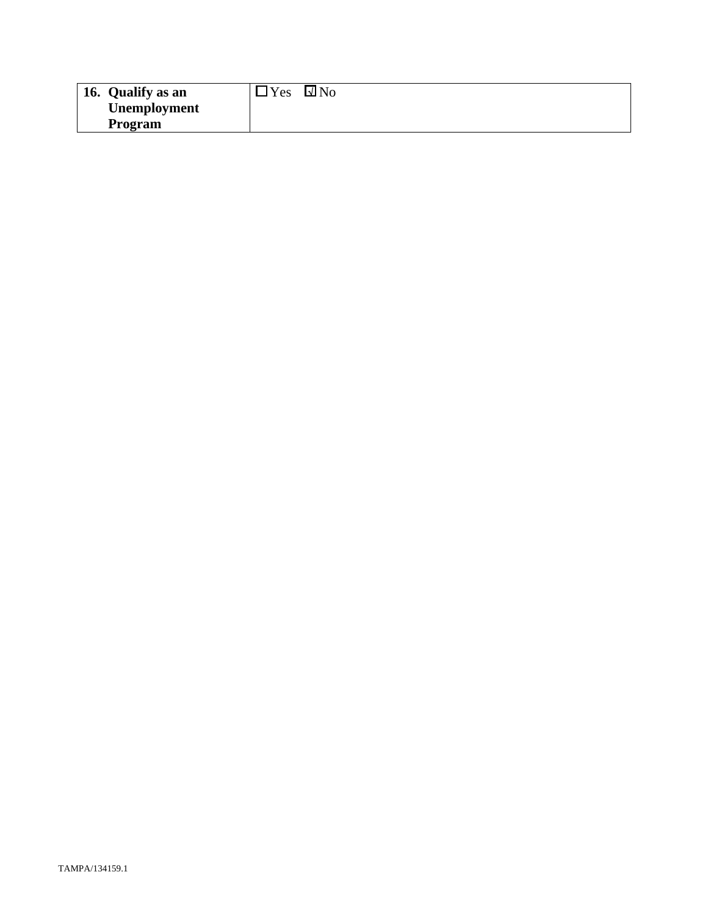| 16. Qualify as an | $v_{es}$<br>$\square$ No |
|-------------------|--------------------------|
| Unemployment      |                          |
| Program           |                          |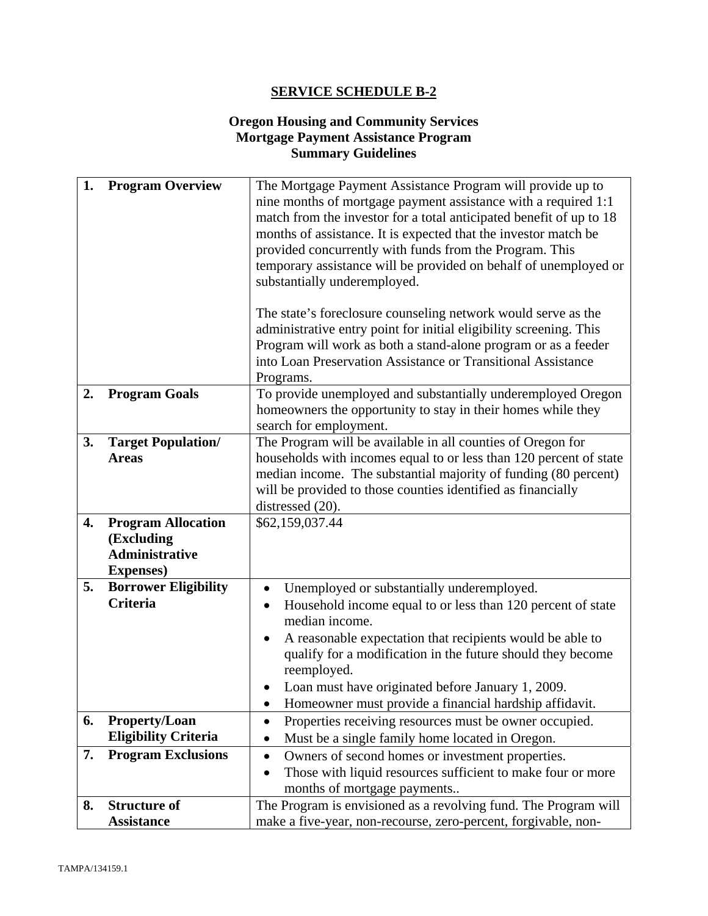## **Oregon Housing and Community Services Mortgage Payment Assistance Program Summary Guidelines**

| 1. | <b>Program Overview</b>     | The Mortgage Payment Assistance Program will provide up to<br>nine months of mortgage payment assistance with a required 1:1<br>match from the investor for a total anticipated benefit of up to 18<br>months of assistance. It is expected that the investor match be<br>provided concurrently with funds from the Program. This<br>temporary assistance will be provided on behalf of unemployed or<br>substantially underemployed.<br>The state's foreclosure counseling network would serve as the<br>administrative entry point for initial eligibility screening. This<br>Program will work as both a stand-alone program or as a feeder<br>into Loan Preservation Assistance or Transitional Assistance<br>Programs. |
|----|-----------------------------|-----------------------------------------------------------------------------------------------------------------------------------------------------------------------------------------------------------------------------------------------------------------------------------------------------------------------------------------------------------------------------------------------------------------------------------------------------------------------------------------------------------------------------------------------------------------------------------------------------------------------------------------------------------------------------------------------------------------------------|
| 2. | <b>Program Goals</b>        | To provide unemployed and substantially underemployed Oregon                                                                                                                                                                                                                                                                                                                                                                                                                                                                                                                                                                                                                                                                |
|    |                             | homeowners the opportunity to stay in their homes while they<br>search for employment.                                                                                                                                                                                                                                                                                                                                                                                                                                                                                                                                                                                                                                      |
| 3. | <b>Target Population/</b>   | The Program will be available in all counties of Oregon for                                                                                                                                                                                                                                                                                                                                                                                                                                                                                                                                                                                                                                                                 |
|    | <b>Areas</b>                | households with incomes equal to or less than 120 percent of state                                                                                                                                                                                                                                                                                                                                                                                                                                                                                                                                                                                                                                                          |
|    |                             | median income. The substantial majority of funding (80 percent)                                                                                                                                                                                                                                                                                                                                                                                                                                                                                                                                                                                                                                                             |
|    |                             | will be provided to those counties identified as financially<br>distressed (20).                                                                                                                                                                                                                                                                                                                                                                                                                                                                                                                                                                                                                                            |
| 4. | <b>Program Allocation</b>   | \$62,159,037.44                                                                                                                                                                                                                                                                                                                                                                                                                                                                                                                                                                                                                                                                                                             |
|    | (Excluding                  |                                                                                                                                                                                                                                                                                                                                                                                                                                                                                                                                                                                                                                                                                                                             |
|    | <b>Administrative</b>       |                                                                                                                                                                                                                                                                                                                                                                                                                                                                                                                                                                                                                                                                                                                             |
|    | <b>Expenses</b> )           |                                                                                                                                                                                                                                                                                                                                                                                                                                                                                                                                                                                                                                                                                                                             |
| 5. | <b>Borrower Eligibility</b> | Unemployed or substantially underemployed.<br>$\bullet$                                                                                                                                                                                                                                                                                                                                                                                                                                                                                                                                                                                                                                                                     |
|    | <b>Criteria</b>             | Household income equal to or less than 120 percent of state<br>$\bullet$<br>median income.                                                                                                                                                                                                                                                                                                                                                                                                                                                                                                                                                                                                                                  |
|    |                             | A reasonable expectation that recipients would be able to<br>$\bullet$                                                                                                                                                                                                                                                                                                                                                                                                                                                                                                                                                                                                                                                      |
|    |                             | qualify for a modification in the future should they become                                                                                                                                                                                                                                                                                                                                                                                                                                                                                                                                                                                                                                                                 |
|    |                             | reemployed.                                                                                                                                                                                                                                                                                                                                                                                                                                                                                                                                                                                                                                                                                                                 |
|    |                             | Loan must have originated before January 1, 2009.<br>$\bullet$                                                                                                                                                                                                                                                                                                                                                                                                                                                                                                                                                                                                                                                              |
| 6. | <b>Property/Loan</b>        | Homeowner must provide a financial hardship affidavit.<br>$\bullet$                                                                                                                                                                                                                                                                                                                                                                                                                                                                                                                                                                                                                                                         |
|    | <b>Eligibility Criteria</b> | Properties receiving resources must be owner occupied.<br>$\bullet$<br>Must be a single family home located in Oregon.                                                                                                                                                                                                                                                                                                                                                                                                                                                                                                                                                                                                      |
| 7. | <b>Program Exclusions</b>   | Owners of second homes or investment properties.<br>$\bullet$                                                                                                                                                                                                                                                                                                                                                                                                                                                                                                                                                                                                                                                               |
|    |                             | Those with liquid resources sufficient to make four or more                                                                                                                                                                                                                                                                                                                                                                                                                                                                                                                                                                                                                                                                 |
|    |                             | months of mortgage payments                                                                                                                                                                                                                                                                                                                                                                                                                                                                                                                                                                                                                                                                                                 |
| 8. | <b>Structure of</b>         | The Program is envisioned as a revolving fund. The Program will                                                                                                                                                                                                                                                                                                                                                                                                                                                                                                                                                                                                                                                             |
|    | <b>Assistance</b>           | make a five-year, non-recourse, zero-percent, forgivable, non-                                                                                                                                                                                                                                                                                                                                                                                                                                                                                                                                                                                                                                                              |
|    |                             |                                                                                                                                                                                                                                                                                                                                                                                                                                                                                                                                                                                                                                                                                                                             |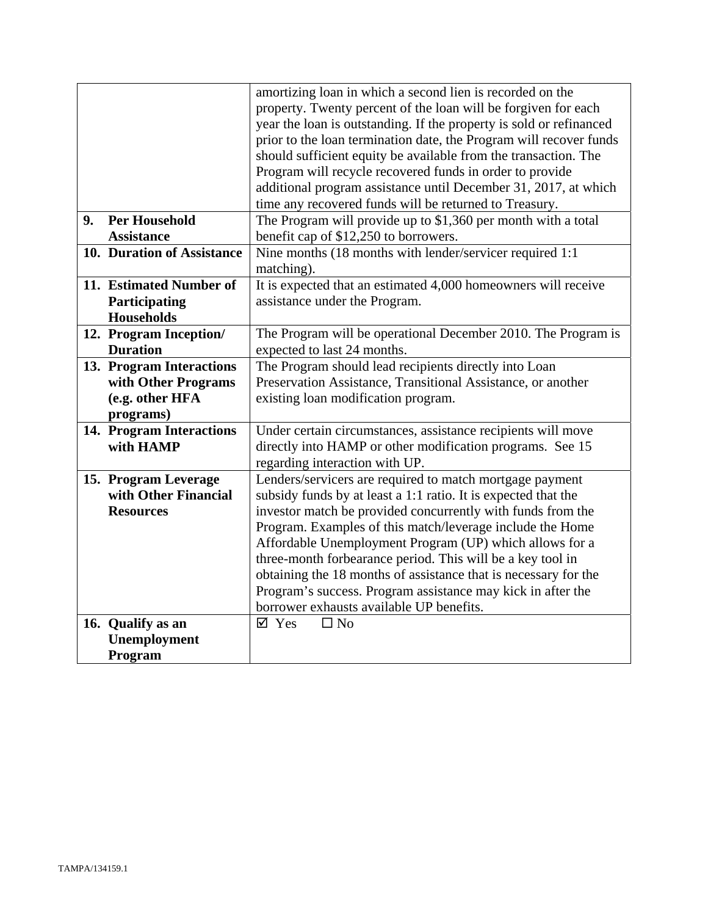|                |                            | amortizing loan in which a second lien is recorded on the           |
|----------------|----------------------------|---------------------------------------------------------------------|
|                |                            | property. Twenty percent of the loan will be forgiven for each      |
|                |                            | year the loan is outstanding. If the property is sold or refinanced |
|                |                            | prior to the loan termination date, the Program will recover funds  |
|                |                            | should sufficient equity be available from the transaction. The     |
|                |                            | Program will recycle recovered funds in order to provide            |
|                |                            | additional program assistance until December 31, 2017, at which     |
|                |                            | time any recovered funds will be returned to Treasury.              |
| 9 <sub>r</sub> | <b>Per Household</b>       | The Program will provide up to \$1,360 per month with a total       |
|                | <b>Assistance</b>          | benefit cap of \$12,250 to borrowers.                               |
|                | 10. Duration of Assistance | Nine months (18 months with lender/servicer required 1:1            |
|                |                            | matching).                                                          |
|                | 11. Estimated Number of    | It is expected that an estimated 4,000 homeowners will receive      |
|                | Participating              | assistance under the Program.                                       |
|                | <b>Households</b>          |                                                                     |
|                | 12. Program Inception/     | The Program will be operational December 2010. The Program is       |
|                | <b>Duration</b>            | expected to last 24 months.                                         |
|                | 13. Program Interactions   | The Program should lead recipients directly into Loan               |
|                | with Other Programs        | Preservation Assistance, Transitional Assistance, or another        |
|                | (e.g. other HFA            | existing loan modification program.                                 |
|                | programs)                  |                                                                     |
|                | 14. Program Interactions   | Under certain circumstances, assistance recipients will move        |
|                | with HAMP                  | directly into HAMP or other modification programs. See 15           |
|                |                            | regarding interaction with UP.                                      |
|                | 15. Program Leverage       | Lenders/servicers are required to match mortgage payment            |
|                | with Other Financial       | subsidy funds by at least a 1:1 ratio. It is expected that the      |
|                | <b>Resources</b>           | investor match be provided concurrently with funds from the         |
|                |                            | Program. Examples of this match/leverage include the Home           |
|                |                            | Affordable Unemployment Program (UP) which allows for a             |
|                |                            | three-month forbearance period. This will be a key tool in          |
|                |                            | obtaining the 18 months of assistance that is necessary for the     |
|                |                            | Program's success. Program assistance may kick in after the         |
|                |                            | borrower exhausts available UP benefits.                            |
|                | 16. Qualify as an          | $\Box$ No<br>$\boxtimes$ Yes                                        |
|                | Unemployment               |                                                                     |
|                | Program                    |                                                                     |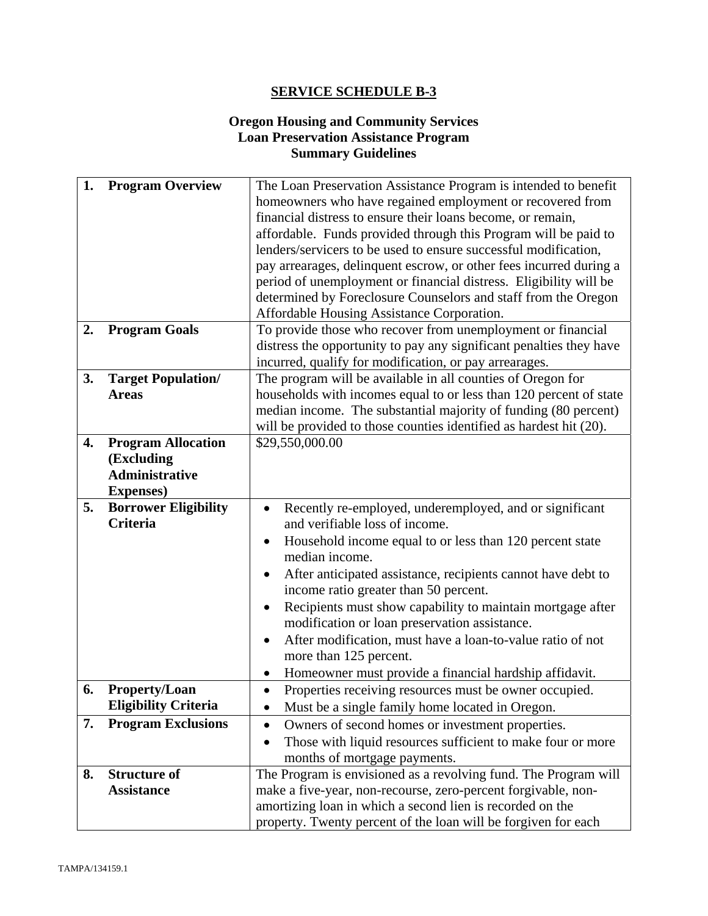# **Oregon Housing and Community Services Loan Preservation Assistance Program Summary Guidelines**

| 1.       | <b>Program Overview</b>                                                                              | The Loan Preservation Assistance Program is intended to benefit                                                                                                                                                                                                                                                                                                                                                                                                                                                                                                                                                                                                                                                            |
|----------|------------------------------------------------------------------------------------------------------|----------------------------------------------------------------------------------------------------------------------------------------------------------------------------------------------------------------------------------------------------------------------------------------------------------------------------------------------------------------------------------------------------------------------------------------------------------------------------------------------------------------------------------------------------------------------------------------------------------------------------------------------------------------------------------------------------------------------------|
|          |                                                                                                      | homeowners who have regained employment or recovered from                                                                                                                                                                                                                                                                                                                                                                                                                                                                                                                                                                                                                                                                  |
|          |                                                                                                      | financial distress to ensure their loans become, or remain,                                                                                                                                                                                                                                                                                                                                                                                                                                                                                                                                                                                                                                                                |
|          |                                                                                                      | affordable. Funds provided through this Program will be paid to                                                                                                                                                                                                                                                                                                                                                                                                                                                                                                                                                                                                                                                            |
|          |                                                                                                      | lenders/servicers to be used to ensure successful modification,                                                                                                                                                                                                                                                                                                                                                                                                                                                                                                                                                                                                                                                            |
|          |                                                                                                      | pay arrearages, delinquent escrow, or other fees incurred during a                                                                                                                                                                                                                                                                                                                                                                                                                                                                                                                                                                                                                                                         |
|          |                                                                                                      | period of unemployment or financial distress. Eligibility will be                                                                                                                                                                                                                                                                                                                                                                                                                                                                                                                                                                                                                                                          |
|          |                                                                                                      | determined by Foreclosure Counselors and staff from the Oregon                                                                                                                                                                                                                                                                                                                                                                                                                                                                                                                                                                                                                                                             |
|          |                                                                                                      | Affordable Housing Assistance Corporation.                                                                                                                                                                                                                                                                                                                                                                                                                                                                                                                                                                                                                                                                                 |
| 2.       | <b>Program Goals</b>                                                                                 | To provide those who recover from unemployment or financial                                                                                                                                                                                                                                                                                                                                                                                                                                                                                                                                                                                                                                                                |
|          |                                                                                                      | distress the opportunity to pay any significant penalties they have                                                                                                                                                                                                                                                                                                                                                                                                                                                                                                                                                                                                                                                        |
|          |                                                                                                      | incurred, qualify for modification, or pay arrearages.                                                                                                                                                                                                                                                                                                                                                                                                                                                                                                                                                                                                                                                                     |
| 3.       | <b>Target Population/</b>                                                                            | The program will be available in all counties of Oregon for                                                                                                                                                                                                                                                                                                                                                                                                                                                                                                                                                                                                                                                                |
|          | <b>Areas</b>                                                                                         | households with incomes equal to or less than 120 percent of state                                                                                                                                                                                                                                                                                                                                                                                                                                                                                                                                                                                                                                                         |
|          |                                                                                                      | median income. The substantial majority of funding (80 percent)                                                                                                                                                                                                                                                                                                                                                                                                                                                                                                                                                                                                                                                            |
|          |                                                                                                      | will be provided to those counties identified as hardest hit (20).                                                                                                                                                                                                                                                                                                                                                                                                                                                                                                                                                                                                                                                         |
| 4.       | <b>Program Allocation</b>                                                                            | \$29,550,000.00                                                                                                                                                                                                                                                                                                                                                                                                                                                                                                                                                                                                                                                                                                            |
|          | (Excluding                                                                                           |                                                                                                                                                                                                                                                                                                                                                                                                                                                                                                                                                                                                                                                                                                                            |
|          | <b>Administrative</b>                                                                                |                                                                                                                                                                                                                                                                                                                                                                                                                                                                                                                                                                                                                                                                                                                            |
|          | <b>Expenses</b> )                                                                                    |                                                                                                                                                                                                                                                                                                                                                                                                                                                                                                                                                                                                                                                                                                                            |
| 5.       | <b>Borrower Eligibility</b>                                                                          | Recently re-employed, underemployed, and or significant<br>$\bullet$                                                                                                                                                                                                                                                                                                                                                                                                                                                                                                                                                                                                                                                       |
|          | Criteria                                                                                             | and verifiable loss of income.                                                                                                                                                                                                                                                                                                                                                                                                                                                                                                                                                                                                                                                                                             |
|          |                                                                                                      | Household income equal to or less than 120 percent state                                                                                                                                                                                                                                                                                                                                                                                                                                                                                                                                                                                                                                                                   |
|          |                                                                                                      | median income.                                                                                                                                                                                                                                                                                                                                                                                                                                                                                                                                                                                                                                                                                                             |
|          |                                                                                                      | After anticipated assistance, recipients cannot have debt to                                                                                                                                                                                                                                                                                                                                                                                                                                                                                                                                                                                                                                                               |
|          |                                                                                                      |                                                                                                                                                                                                                                                                                                                                                                                                                                                                                                                                                                                                                                                                                                                            |
|          |                                                                                                      |                                                                                                                                                                                                                                                                                                                                                                                                                                                                                                                                                                                                                                                                                                                            |
|          |                                                                                                      | modification or loan preservation assistance.                                                                                                                                                                                                                                                                                                                                                                                                                                                                                                                                                                                                                                                                              |
|          |                                                                                                      | After modification, must have a loan-to-value ratio of not<br>$\bullet$                                                                                                                                                                                                                                                                                                                                                                                                                                                                                                                                                                                                                                                    |
|          |                                                                                                      |                                                                                                                                                                                                                                                                                                                                                                                                                                                                                                                                                                                                                                                                                                                            |
|          |                                                                                                      |                                                                                                                                                                                                                                                                                                                                                                                                                                                                                                                                                                                                                                                                                                                            |
| 6.       | <b>Property/Loan</b>                                                                                 |                                                                                                                                                                                                                                                                                                                                                                                                                                                                                                                                                                                                                                                                                                                            |
|          |                                                                                                      |                                                                                                                                                                                                                                                                                                                                                                                                                                                                                                                                                                                                                                                                                                                            |
|          |                                                                                                      | $\bullet$                                                                                                                                                                                                                                                                                                                                                                                                                                                                                                                                                                                                                                                                                                                  |
|          |                                                                                                      |                                                                                                                                                                                                                                                                                                                                                                                                                                                                                                                                                                                                                                                                                                                            |
|          |                                                                                                      |                                                                                                                                                                                                                                                                                                                                                                                                                                                                                                                                                                                                                                                                                                                            |
|          |                                                                                                      |                                                                                                                                                                                                                                                                                                                                                                                                                                                                                                                                                                                                                                                                                                                            |
|          |                                                                                                      |                                                                                                                                                                                                                                                                                                                                                                                                                                                                                                                                                                                                                                                                                                                            |
|          |                                                                                                      |                                                                                                                                                                                                                                                                                                                                                                                                                                                                                                                                                                                                                                                                                                                            |
|          |                                                                                                      |                                                                                                                                                                                                                                                                                                                                                                                                                                                                                                                                                                                                                                                                                                                            |
| 7.<br>8. | <b>Eligibility Criteria</b><br><b>Program Exclusions</b><br><b>Structure of</b><br><b>Assistance</b> | income ratio greater than 50 percent.<br>Recipients must show capability to maintain mortgage after<br>more than 125 percent.<br>Homeowner must provide a financial hardship affidavit.<br>Properties receiving resources must be owner occupied.<br>Must be a single family home located in Oregon.<br>Owners of second homes or investment properties.<br>Those with liquid resources sufficient to make four or more<br>months of mortgage payments.<br>The Program is envisioned as a revolving fund. The Program will<br>make a five-year, non-recourse, zero-percent forgivable, non-<br>amortizing loan in which a second lien is recorded on the<br>property. Twenty percent of the loan will be forgiven for each |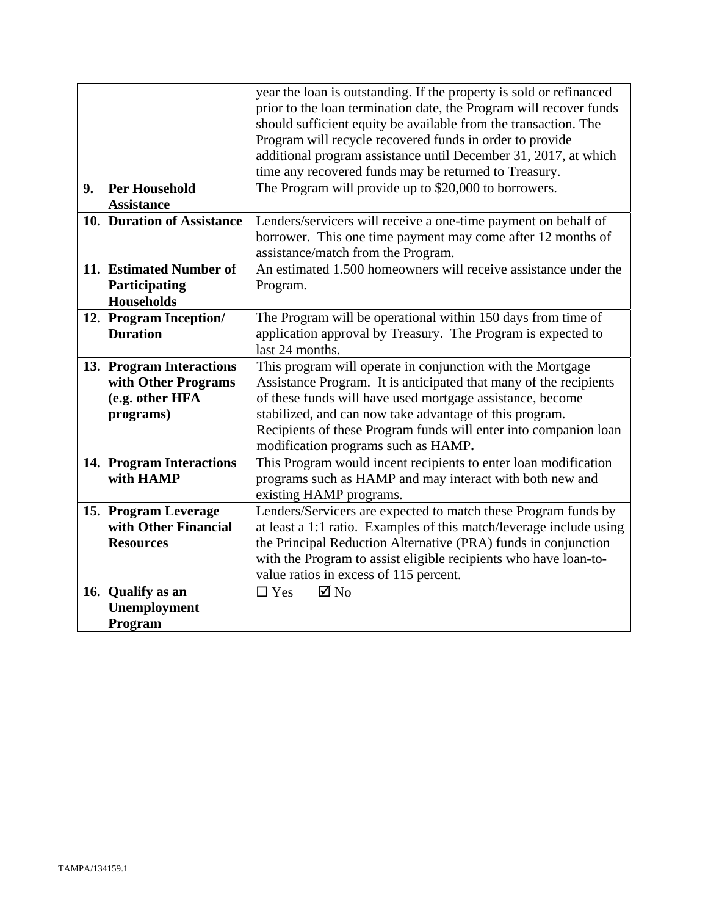|    |                                              | year the loan is outstanding. If the property is sold or refinanced<br>prior to the loan termination date, the Program will recover funds |
|----|----------------------------------------------|-------------------------------------------------------------------------------------------------------------------------------------------|
|    |                                              | should sufficient equity be available from the transaction. The                                                                           |
|    |                                              | Program will recycle recovered funds in order to provide                                                                                  |
|    |                                              | additional program assistance until December 31, 2017, at which                                                                           |
|    |                                              | time any recovered funds may be returned to Treasury.                                                                                     |
| 9. | <b>Per Household</b>                         | The Program will provide up to \$20,000 to borrowers.                                                                                     |
|    | <b>Assistance</b>                            |                                                                                                                                           |
|    | 10. Duration of Assistance                   | Lenders/servicers will receive a one-time payment on behalf of                                                                            |
|    |                                              | borrower. This one time payment may come after 12 months of                                                                               |
|    |                                              | assistance/match from the Program.                                                                                                        |
|    | 11. Estimated Number of                      | An estimated 1.500 homeowners will receive assistance under the                                                                           |
|    | Participating                                | Program.                                                                                                                                  |
|    | <b>Households</b>                            |                                                                                                                                           |
|    | 12. Program Inception/                       | The Program will be operational within 150 days from time of                                                                              |
|    | <b>Duration</b>                              | application approval by Treasury. The Program is expected to                                                                              |
|    |                                              | last 24 months.                                                                                                                           |
|    | 13. Program Interactions                     | This program will operate in conjunction with the Mortgage                                                                                |
|    | with Other Programs                          | Assistance Program. It is anticipated that many of the recipients                                                                         |
|    | (e.g. other HFA                              | of these funds will have used mortgage assistance, become                                                                                 |
|    | programs)                                    | stabilized, and can now take advantage of this program.                                                                                   |
|    |                                              | Recipients of these Program funds will enter into companion loan                                                                          |
|    |                                              | modification programs such as HAMP.                                                                                                       |
|    | 14. Program Interactions                     | This Program would incent recipients to enter loan modification                                                                           |
|    | with HAMP                                    | programs such as HAMP and may interact with both new and                                                                                  |
|    |                                              | existing HAMP programs.                                                                                                                   |
|    | 15. Program Leverage<br>with Other Financial | Lenders/Servicers are expected to match these Program funds by                                                                            |
|    | <b>Resources</b>                             | at least a 1:1 ratio. Examples of this match/leverage include using<br>the Principal Reduction Alternative (PRA) funds in conjunction     |
|    |                                              | with the Program to assist eligible recipients who have loan-to-                                                                          |
|    |                                              | value ratios in excess of 115 percent.                                                                                                    |
|    | 16. Qualify as an                            | $\boxtimes$ No<br>$\Box$ Yes                                                                                                              |
|    | Unemployment                                 |                                                                                                                                           |
|    | Program                                      |                                                                                                                                           |
|    |                                              |                                                                                                                                           |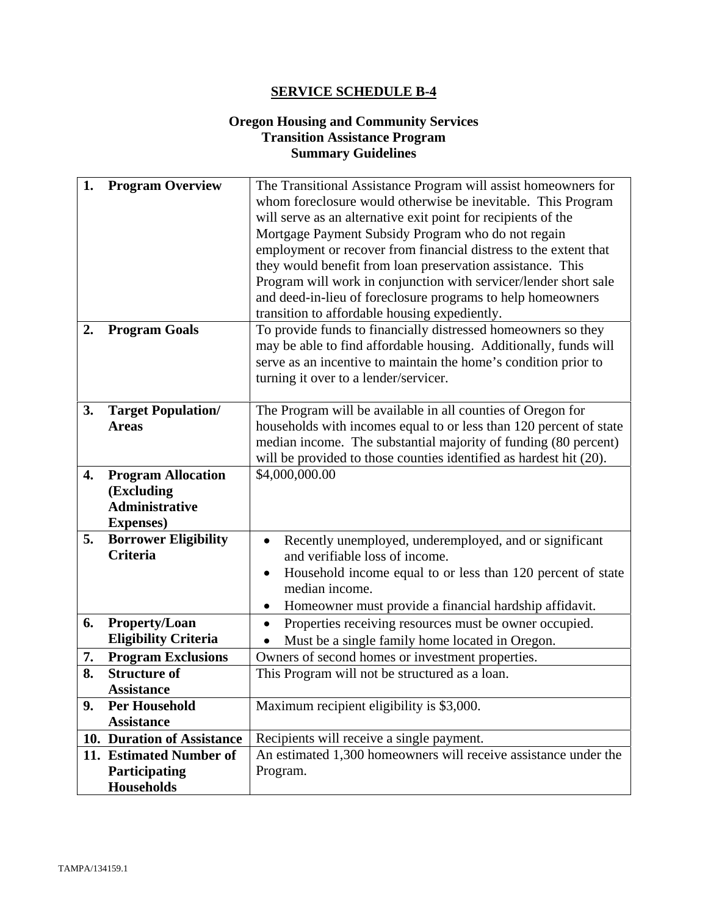# **Oregon Housing and Community Services Transition Assistance Program Summary Guidelines**

| 1.<br>2. | <b>Program Overview</b><br><b>Program Goals</b>                                       | The Transitional Assistance Program will assist homeowners for<br>whom foreclosure would otherwise be inevitable. This Program<br>will serve as an alternative exit point for recipients of the<br>Mortgage Payment Subsidy Program who do not regain<br>employment or recover from financial distress to the extent that<br>they would benefit from loan preservation assistance. This<br>Program will work in conjunction with servicer/lender short sale<br>and deed-in-lieu of foreclosure programs to help homeowners<br>transition to affordable housing expediently.<br>To provide funds to financially distressed homeowners so they |  |
|----------|---------------------------------------------------------------------------------------|----------------------------------------------------------------------------------------------------------------------------------------------------------------------------------------------------------------------------------------------------------------------------------------------------------------------------------------------------------------------------------------------------------------------------------------------------------------------------------------------------------------------------------------------------------------------------------------------------------------------------------------------|--|
|          |                                                                                       | may be able to find affordable housing. Additionally, funds will<br>serve as an incentive to maintain the home's condition prior to<br>turning it over to a lender/servicer.                                                                                                                                                                                                                                                                                                                                                                                                                                                                 |  |
| 3.       | <b>Target Population/</b><br><b>Areas</b>                                             | The Program will be available in all counties of Oregon for<br>households with incomes equal to or less than 120 percent of state<br>median income. The substantial majority of funding (80 percent)<br>will be provided to those counties identified as hardest hit (20).                                                                                                                                                                                                                                                                                                                                                                   |  |
| 4.       | <b>Program Allocation</b><br>(Excluding<br><b>Administrative</b><br><b>Expenses</b> ) | \$4,000,000.00                                                                                                                                                                                                                                                                                                                                                                                                                                                                                                                                                                                                                               |  |
| 5.       | <b>Borrower Eligibility</b><br><b>Criteria</b>                                        | Recently unemployed, underemployed, and or significant<br>and verifiable loss of income.<br>Household income equal to or less than 120 percent of state<br>median income.<br>Homeowner must provide a financial hardship affidavit.                                                                                                                                                                                                                                                                                                                                                                                                          |  |
| 6.       | Property/Loan<br><b>Eligibility Criteria</b>                                          | Properties receiving resources must be owner occupied.<br>Must be a single family home located in Oregon.                                                                                                                                                                                                                                                                                                                                                                                                                                                                                                                                    |  |
| 7.       | <b>Program Exclusions</b>                                                             | Owners of second homes or investment properties.                                                                                                                                                                                                                                                                                                                                                                                                                                                                                                                                                                                             |  |
| 8.       | <b>Structure of</b><br><b>Assistance</b>                                              | This Program will not be structured as a loan.                                                                                                                                                                                                                                                                                                                                                                                                                                                                                                                                                                                               |  |
| 9.       | <b>Per Household</b><br><b>Assistance</b>                                             | Maximum recipient eligibility is \$3,000.                                                                                                                                                                                                                                                                                                                                                                                                                                                                                                                                                                                                    |  |
|          | 10. Duration of Assistance                                                            | Recipients will receive a single payment.                                                                                                                                                                                                                                                                                                                                                                                                                                                                                                                                                                                                    |  |
|          | 11. Estimated Number of                                                               | An estimated 1,300 homeowners will receive assistance under the                                                                                                                                                                                                                                                                                                                                                                                                                                                                                                                                                                              |  |
|          | Participating<br><b>Households</b>                                                    | Program.                                                                                                                                                                                                                                                                                                                                                                                                                                                                                                                                                                                                                                     |  |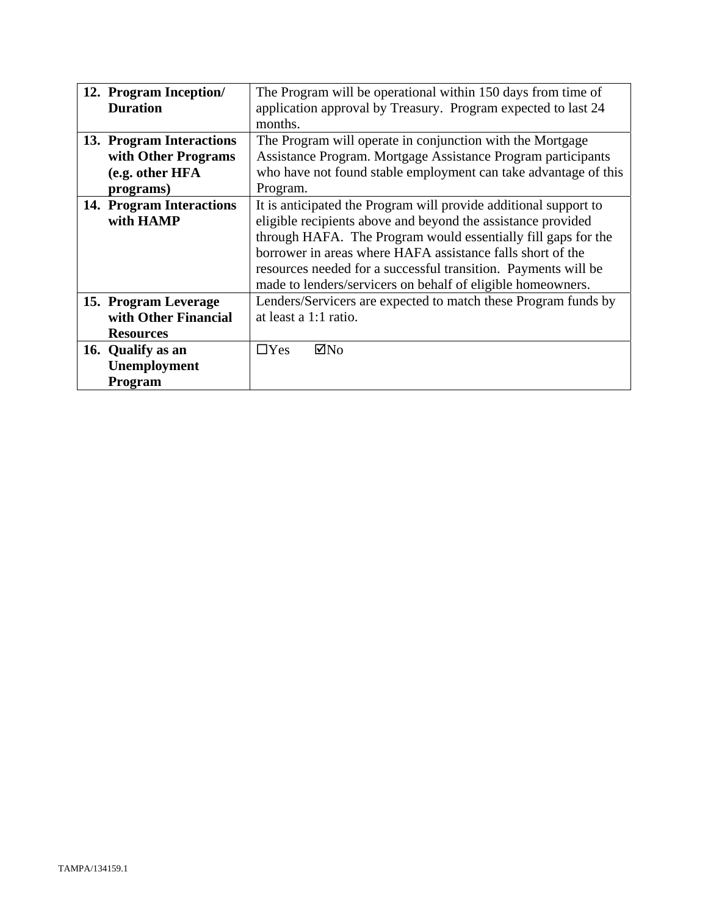| 12. Program Inception/   | The Program will be operational within 150 days from time of     |  |  |
|--------------------------|------------------------------------------------------------------|--|--|
| <b>Duration</b>          | application approval by Treasury. Program expected to last 24    |  |  |
|                          | months.                                                          |  |  |
| 13. Program Interactions | The Program will operate in conjunction with the Mortgage        |  |  |
| with Other Programs      | Assistance Program. Mortgage Assistance Program participants     |  |  |
| (e.g. other HFA          | who have not found stable employment can take advantage of this  |  |  |
| programs)                | Program.                                                         |  |  |
| 14. Program Interactions | It is anticipated the Program will provide additional support to |  |  |
| with HAMP                | eligible recipients above and beyond the assistance provided     |  |  |
|                          | through HAFA. The Program would essentially fill gaps for the    |  |  |
|                          | borrower in areas where HAFA assistance falls short of the       |  |  |
|                          | resources needed for a successful transition. Payments will be   |  |  |
|                          | made to lenders/servicers on behalf of eligible homeowners.      |  |  |
| 15. Program Leverage     | Lenders/Servicers are expected to match these Program funds by   |  |  |
| with Other Financial     | at least a 1:1 ratio.                                            |  |  |
| <b>Resources</b>         |                                                                  |  |  |
| 16. Qualify as an        | $\boxtimes$ No<br>$\Box$ Yes                                     |  |  |
| Unemployment             |                                                                  |  |  |
| <b>Program</b>           |                                                                  |  |  |